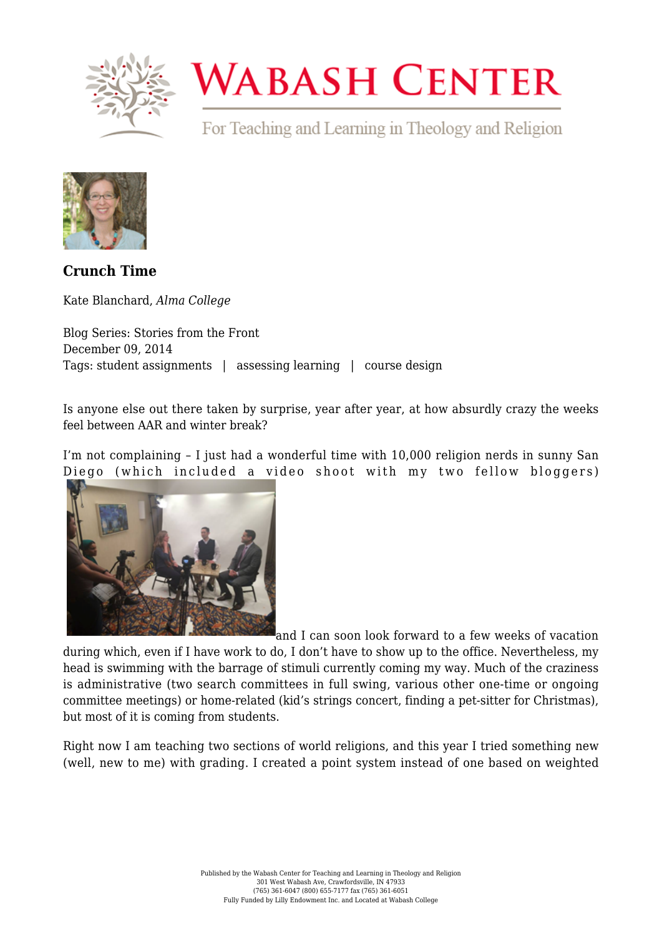

## **WABASH CENTER**

For Teaching and Learning in Theology and Religion



**[Crunch Time](https://www.wabashcenter.wabash.edu/2014/12/crunch-time/)**

Kate Blanchard, *Alma College*

Blog Series: Stories from the Front December 09, 2014 Tags: student assignments | assessing learning | course design

Is anyone else out there taken by surprise, year after year, at how absurdly crazy the weeks feel between AAR and winter break?

I'm not complaining – I just had a wonderful time with 10,000 religion nerds in sunny San Diego (which included a video shoot with my two fellow bloggers)



 $\mathsf{I}_{\mathsf{and}}$  $\mathsf{I}_{\mathsf{and}}$  $\mathsf{I}_{\mathsf{and}}$  I can soon look forward to a few weeks of vacation

during which, even if I have work to do, I don't have to show up to the office. Nevertheless, my head is swimming with the barrage of stimuli currently coming my way. Much of the craziness is administrative (two search committees in full swing, various other one-time or ongoing committee meetings) or home-related (kid's strings concert, finding a pet-sitter for Christmas), but most of it is coming from students.

Right now I am teaching two sections of world religions, and this year I tried something new (well, new to me) with grading. I created a point system instead of one based on weighted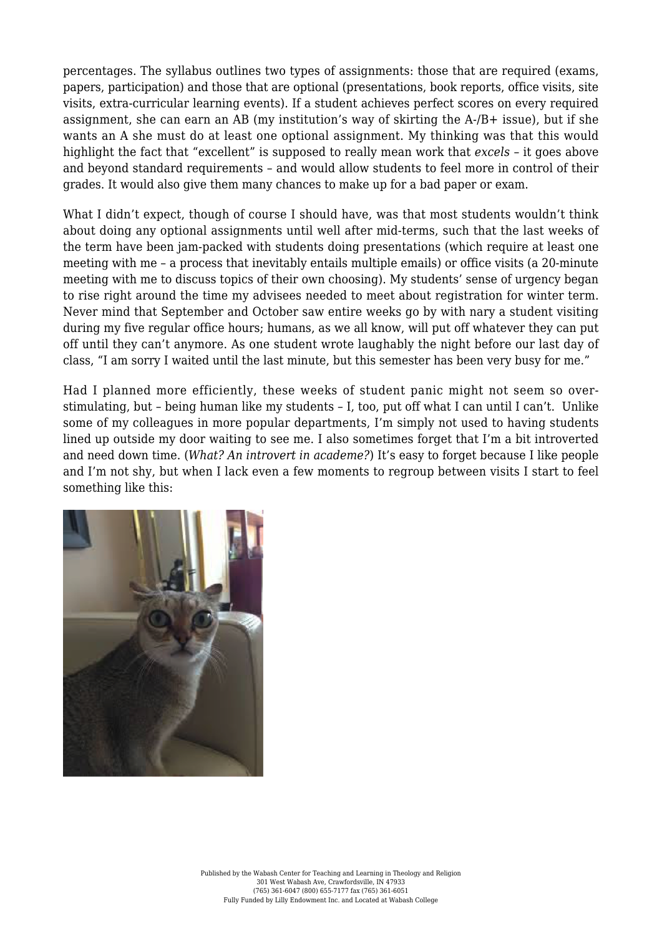percentages. The syllabus outlines two types of assignments: those that are required (exams, papers, participation) and those that are optional (presentations, book reports, office visits, site visits, extra-curricular learning events). If a student achieves perfect scores on every required assignment, she can earn an AB (my institution's way of skirting the A-/B+ issue), but if she wants an A she must do at least one optional assignment. My thinking was that this would highlight the fact that "excellent" is supposed to really mean work that *excels* – it goes above and beyond standard requirements – and would allow students to feel more in control of their grades. It would also give them many chances to make up for a bad paper or exam.

What I didn't expect, though of course I should have, was that most students wouldn't think about doing any optional assignments until well after mid-terms, such that the last weeks of the term have been jam-packed with students doing presentations (which require at least one meeting with me – a process that inevitably entails multiple emails) or office visits (a 20-minute meeting with me to discuss topics of their own choosing). My students' sense of urgency began to rise right around the time my advisees needed to meet about registration for winter term. Never mind that September and October saw entire weeks go by with nary a student visiting during my five regular office hours; humans, as we all know, will put off whatever they can put off until they can't anymore. As one student wrote laughably the night before our last day of class, "I am sorry I waited until the last minute, but this semester has been very busy for me."

Had I planned more efficiently, these weeks of student panic might not seem so overstimulating, but – being human like my students – I, too, put off what I can until I can't. Unlike some of my colleagues in [more popular departments,](https://www.wabashcenter.wabash.edu/2014/09/disciplinary-envy-or-learning-to-read/) I'm simply not used to having students lined up outside my door waiting to see me. I also sometimes forget that I'm a bit introverted and need down time. (*What? An introvert in academe?*) It's easy to forget because I like people and I'm not shy, but when I lack even a few moments to regroup between visits I start to feel something like this: